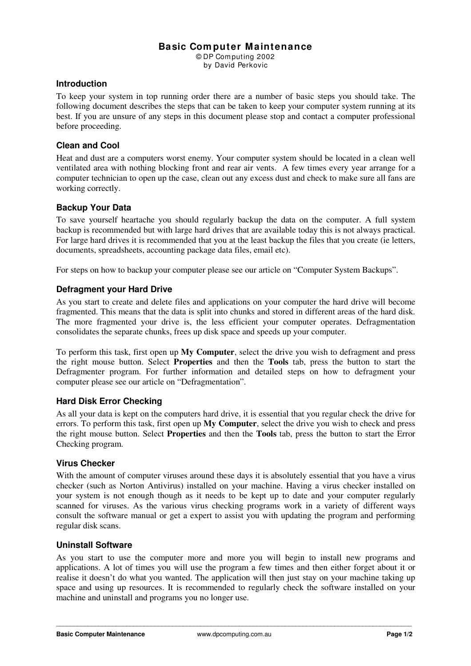# **Basic Com puter Maintenance**

© DP Com puting 2002 by David Perkovic

#### **Introduction**

To keep your system in top running order there are a number of basic steps you should take. The following document describes the steps that can be taken to keep your computer system running at its best. If you are unsure of any steps in this document please stop and contact a computer professional before proceeding.

### **Clean and Cool**

Heat and dust are a computers worst enemy. Your computer system should be located in a clean well ventilated area with nothing blocking front and rear air vents. A few times every year arrange for a computer technician to open up the case, clean out any excess dust and check to make sure all fans are working correctly.

# **Backup Your Data**

To save yourself heartache you should regularly backup the data on the computer. A full system backup is recommended but with large hard drives that are available today this is not always practical. For large hard drives it is recommended that you at the least backup the files that you create (ie letters, documents, spreadsheets, accounting package data files, email etc).

For steps on how to backup your computer please see our article on "Computer System Backups".

### **Defragment your Hard Drive**

As you start to create and delete files and applications on your computer the hard drive will become fragmented. This means that the data is split into chunks and stored in different areas of the hard disk. The more fragmented your drive is, the less efficient your computer operates. Defragmentation consolidates the separate chunks, frees up disk space and speeds up your computer.

To perform this task, first open up **My Computer**, select the drive you wish to defragment and press the right mouse button. Select **Properties** and then the **Tools** tab, press the button to start the Defragmenter program. For further information and detailed steps on how to defragment your computer please see our article on "Defragmentation".

### **Hard Disk Error Checking**

As all your data is kept on the computers hard drive, it is essential that you regular check the drive for errors. To perform this task, first open up **My Computer**, select the drive you wish to check and press the right mouse button. Select **Properties** and then the **Tools** tab, press the button to start the Error Checking program.

### **Virus Checker**

With the amount of computer viruses around these days it is absolutely essential that you have a virus checker (such as Norton Antivirus) installed on your machine. Having a virus checker installed on your system is not enough though as it needs to be kept up to date and your computer regularly scanned for viruses. As the various virus checking programs work in a variety of different ways consult the software manual or get a expert to assist you with updating the program and performing regular disk scans.

#### **Uninstall Software**

As you start to use the computer more and more you will begin to install new programs and applications. A lot of times you will use the program a few times and then either forget about it or realise it doesn't do what you wanted. The application will then just stay on your machine taking up space and using up resources. It is recommended to regularly check the software installed on your machine and uninstall and programs you no longer use.